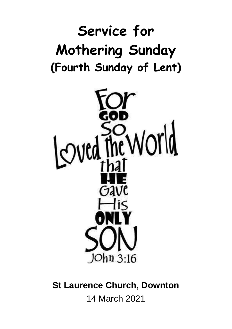# **Service for Mothering Sunday (Fourth Sunday of Lent)**



**St Laurence Church, Downton** 14 March 2021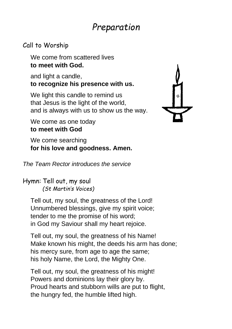# *Preparation*

### Call to Worship

We come from scattered lives **to meet with God.**

and light a candle, **to recognize his presence with us.**

We light this candle to remind us that Jesus is the light of the world, and is always with us to show us the way.



We come as one today **to meet with God**

We come searching **for his love and goodness. Amen.**

*The Team Rector introduces the service*

Hymn: Tell out, my soul *(St Martin's Voices)*

Tell out, my soul, the greatness of the Lord! Unnumbered blessings, give my spirit voice; tender to me the promise of his word; in God my Saviour shall my heart rejoice.

Tell out, my soul, the greatness of his Name! Make known his might, the deeds his arm has done; his mercy sure, from age to age the same; his holy Name, the Lord, the Mighty One.

Tell out, my soul, the greatness of his might! Powers and dominions lay their glory by. Proud hearts and stubborn wills are put to flight, the hungry fed, the humble lifted high.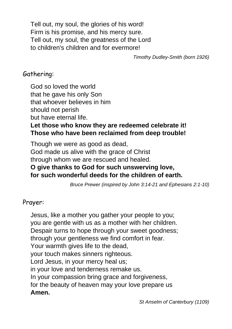Tell out, my soul, the glories of his word! Firm is his promise, and his mercy sure. Tell out, my soul, the greatness of the Lord to children's children and for evermore!

*Timothy Dudley-Smith (born 1926)*

### Gathering:

God so loved the world that he gave his only Son that whoever believes in him should not perish but have eternal life.

#### **Let those who know they are redeemed celebrate it! Those who have been reclaimed from deep trouble!**

Though we were as good as dead, God made us alive with the grace of Christ through whom we are rescued and healed. **O give thanks to God for such unswerving love, for such wonderful deeds for the children of earth.**

*Bruce Prewer (inspired by John 3:14-21 and Ephesians 2:1-10)*

#### Prayer:

Jesus, like a mother you gather your people to you; you are gentle with us as a mother with her children. Despair turns to hope through your sweet goodness; through your gentleness we find comfort in fear. Your warmth gives life to the dead, your touch makes sinners righteous. Lord Jesus, in your mercy heal us; in your love and tenderness remake us. In your compassion bring grace and forgiveness, for the beauty of heaven may your love prepare us **Amen.**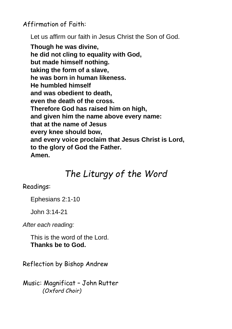Affirmation of Faith:

Let us affirm our faith in Jesus Christ the Son of God.

**Though he was divine, he did not cling to equality with God, but made himself nothing. taking the form of a slave, he was born in human likeness. He humbled himself and was obedient to death, even the death of the cross. Therefore God has raised him on high, and given him the name above every name: that at the name of Jesus every knee should bow, and every voice proclaim that Jesus Christ is Lord, to the glory of God the Father. Amen.**

# *The Liturgy of the Word*

#### Readings:

Ephesians 2:1-10

John 3:14-21

*After each reading:*

This is the word of the Lord. **Thanks be to God.**

Reflection by Bishop Andrew

Music: Magnificat – John Rutter *(Oxford Choir)*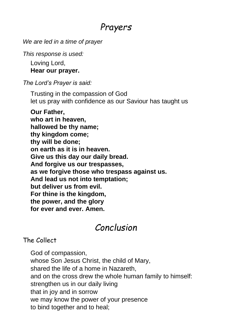### *Prayers*

*We are led in a time of prayer*

*This response is used:*

Loving Lord, **Hear our prayer.**

*The Lord's Prayer is said:*

Trusting in the compassion of God let us pray with confidence as our Saviour has taught us

**Our Father, who art in heaven, hallowed be thy name; thy kingdom come; thy will be done; on earth as it is in heaven. Give us this day our daily bread. And forgive us our trespasses, as we forgive those who trespass against us. And lead us not into temptation; but deliver us from evil. For thine is the kingdom, the power, and the glory for ever and ever. Amen.**

# *Conclusion*

### The Collect

God of compassion, whose Son Jesus Christ, the child of Mary, shared the life of a home in Nazareth, and on the cross drew the whole human family to himself: strengthen us in our daily living that in joy and in sorrow we may know the power of your presence to bind together and to heal;